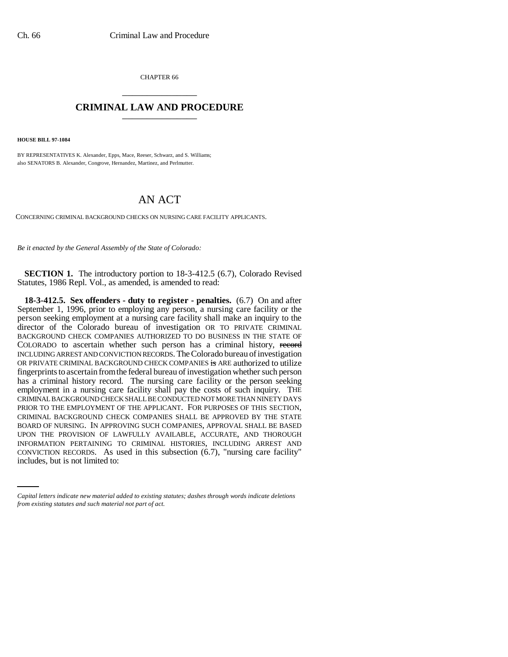CHAPTER 66 \_\_\_\_\_\_\_\_\_\_\_\_\_\_\_

## **CRIMINAL LAW AND PROCEDURE** \_\_\_\_\_\_\_\_\_\_\_\_\_\_\_

**HOUSE BILL 97-1084**

BY REPRESENTATIVES K. Alexander, Epps, Mace, Reeser, Schwarz, and S. Williams; also SENATORS B. Alexander, Congrove, Hernandez, Martinez, and Perlmutter.

## AN ACT

CONCERNING CRIMINAL BACKGROUND CHECKS ON NURSING CARE FACILITY APPLICANTS.

*Be it enacted by the General Assembly of the State of Colorado:*

**SECTION 1.** The introductory portion to 18-3-412.5 (6.7), Colorado Revised Statutes, 1986 Repl. Vol., as amended, is amended to read:

INFORMATION PERTAINING TO CRIMINAL HISTORIES, INCLUDING ARREST AND **18-3-412.5. Sex offenders - duty to register - penalties.** (6.7) On and after September 1, 1996, prior to employing any person, a nursing care facility or the person seeking employment at a nursing care facility shall make an inquiry to the director of the Colorado bureau of investigation OR TO PRIVATE CRIMINAL BACKGROUND CHECK COMPANIES AUTHORIZED TO DO BUSINESS IN THE STATE OF COLORADO to ascertain whether such person has a criminal history, record INCLUDING ARREST AND CONVICTION RECORDS. The Colorado bureau of investigation OR PRIVATE CRIMINAL BACKGROUND CHECK COMPANIES is ARE authorized to utilize fingerprints to ascertain from the federal bureau of investigation whether such person has a criminal history record. The nursing care facility or the person seeking employment in a nursing care facility shall pay the costs of such inquiry. THE CRIMINAL BACKGROUND CHECK SHALL BE CONDUCTED NOT MORE THAN NINETY DAYS PRIOR TO THE EMPLOYMENT OF THE APPLICANT. FOR PURPOSES OF THIS SECTION, CRIMINAL BACKGROUND CHECK COMPANIES SHALL BE APPROVED BY THE STATE BOARD OF NURSING. IN APPROVING SUCH COMPANIES, APPROVAL SHALL BE BASED UPON THE PROVISION OF LAWFULLY AVAILABLE, ACCURATE, AND THOROUGH CONVICTION RECORDS. As used in this subsection (6.7), "nursing care facility" includes, but is not limited to:

*Capital letters indicate new material added to existing statutes; dashes through words indicate deletions from existing statutes and such material not part of act.*